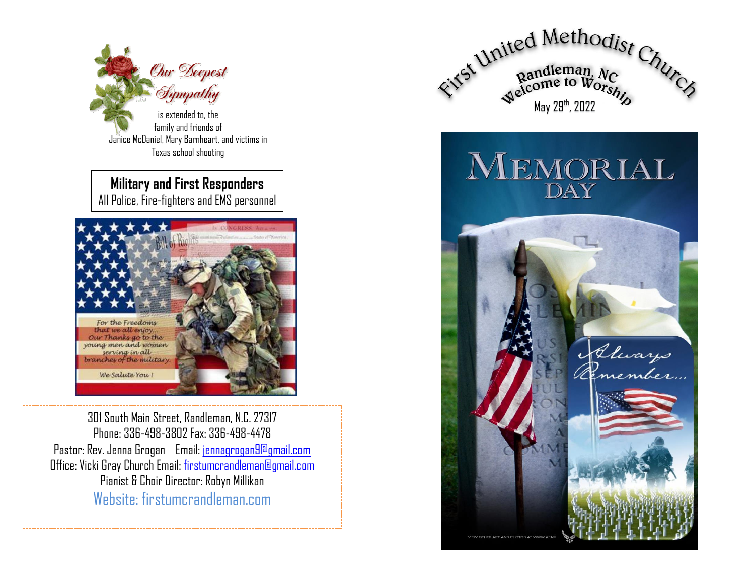

is extended to, the family and friends of Janice McDaniel, Mary Barnheart, and victims in Texas school shooting

**Military and First Responders** All Police, Fire-fighters and EMS personnel



301 South Main Street, Randleman, N.C. 27317 Phone: 336-498-3802 Fax: 336-498-4478 Pastor: Rev. Jenna Grogan Email: [jennagrogan9@gmail.com](mailto:jennagrogan9@gmail.com) Office: Vicki Gray Church Email: [firstumcrandleman@gmail.com](mailto:firstumcrandleman@gmail.com) Pianist & Choir Director: Robyn Millikan Website: firstumcrandleman.com



MEMORIAL